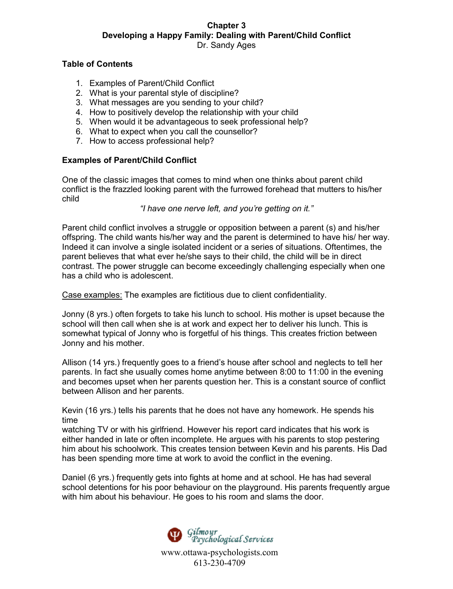## **Table of Contents**

- 1. Examples of Parent/Child Conflict
- 2. What is your parental style of discipline?
- 3. What messages are you sending to your child?
- 4. How to positively develop the relationship with your child
- 5. When would it be advantageous to seek professional help?
- 6. What to expect when you call the counsellor?
- 7. How to access professional help?

## **Examples of Parent/Child Conflict**

One of the classic images that comes to mind when one thinks about parent child conflict is the frazzled looking parent with the furrowed forehead that mutters to his/her child

*"I have one nerve left, and you're getting on it."*

Parent child conflict involves a struggle or opposition between a parent (s) and his/her offspring. The child wants his/her way and the parent is determined to have his/ her way. Indeed it can involve a single isolated incident or a series of situations. Oftentimes, the parent believes that what ever he/she says to their child, the child will be in direct contrast. The power struggle can become exceedingly challenging especially when one has a child who is adolescent.

Case examples: The examples are fictitious due to client confidentiality.

Jonny (8 yrs.) often forgets to take his lunch to school. His mother is upset because the school will then call when she is at work and expect her to deliver his lunch. This is somewhat typical of Jonny who is forgetful of his things. This creates friction between Jonny and his mother.

Allison (14 yrs.) frequently goes to a friend's house after school and neglects to tell her parents. In fact she usually comes home anytime between 8:00 to 11:00 in the evening and becomes upset when her parents question her. This is a constant source of conflict between Allison and her parents.

Kevin (16 yrs.) tells his parents that he does not have any homework. He spends his time

watching TV or with his girlfriend. However his report card indicates that his work is either handed in late or often incomplete. He argues with his parents to stop pestering him about his schoolwork. This creates tension between Kevin and his parents. His Dad has been spending more time at work to avoid the conflict in the evening.

Daniel (6 yrs.) frequently gets into fights at home and at school. He has had several school detentions for his poor behaviour on the playground. His parents frequently argue with him about his behaviour. He goes to his room and slams the door.

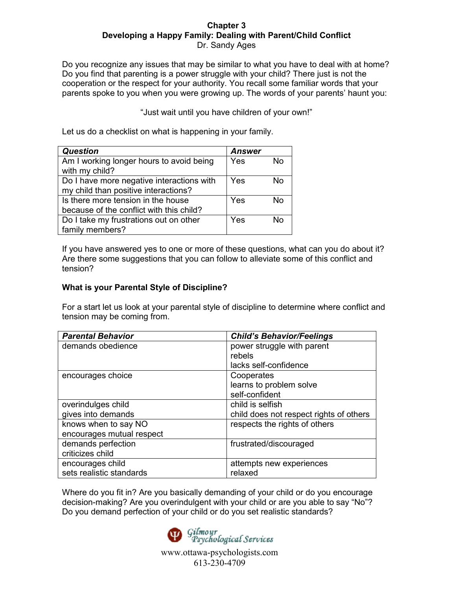Do you recognize any issues that may be similar to what you have to deal with at home? Do you find that parenting is a power struggle with your child? There just is not the cooperation or the respect for your authority. You recall some familiar words that your parents spoke to you when you were growing up. The words of your parents' haunt you:

"Just wait until you have children of your own!"

Let us do a checklist on what is happening in your family.

| <b>Question</b>                                                                   | <b>Answer</b> |    |
|-----------------------------------------------------------------------------------|---------------|----|
| Am I working longer hours to avoid being<br>with my child?                        | Yes           | No |
| Do I have more negative interactions with<br>my child than positive interactions? | Yes           | N٥ |
| Is there more tension in the house<br>because of the conflict with this child?    | Yes           | N٥ |
| Do I take my frustrations out on other<br>family members?                         | Yes           | N٥ |

If you have answered yes to one or more of these questions, what can you do about it? Are there some suggestions that you can follow to alleviate some of this conflict and tension?

# **What is your Parental Style of Discipline?**

For a start let us look at your parental style of discipline to determine where conflict and tension may be coming from.

| <b>Parental Behavior</b>  | <b>Child's Behavior/Feelings</b>        |
|---------------------------|-----------------------------------------|
| demands obedience         | power struggle with parent              |
|                           | rebels                                  |
|                           | lacks self-confidence                   |
| encourages choice         | Cooperates                              |
|                           | learns to problem solve                 |
|                           | self-confident                          |
| overindulges child        | child is selfish                        |
| gives into demands        | child does not respect rights of others |
| knows when to say NO      | respects the rights of others           |
| encourages mutual respect |                                         |
| demands perfection        | frustrated/discouraged                  |
| criticizes child          |                                         |
| encourages child          | attempts new experiences                |
| sets realistic standards  | relaxed                                 |

Where do you fit in? Are you basically demanding of your child or do you encourage decision-making? Are you overindulgent with your child or are you able to say "No"? Do you demand perfection of your child or do you set realistic standards?

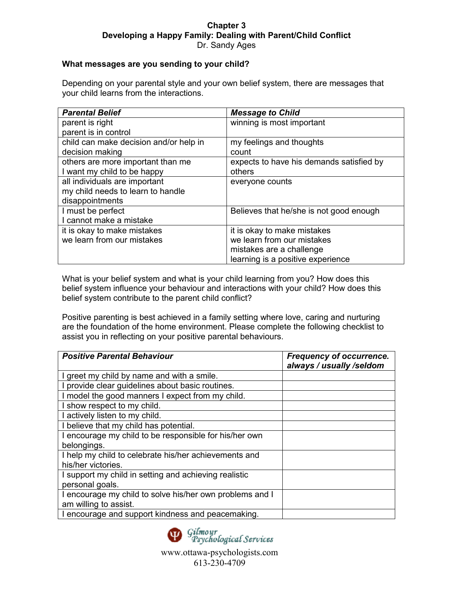## **What messages are you sending to your child?**

Depending on your parental style and your own belief system, there are messages that your child learns from the interactions.

| <b>Parental Belief</b>                 | <b>Message to Child</b>                  |
|----------------------------------------|------------------------------------------|
| parent is right                        | winning is most important                |
| parent is in control                   |                                          |
| child can make decision and/or help in | my feelings and thoughts                 |
| decision making                        | count                                    |
| others are more important than me      | expects to have his demands satisfied by |
| I want my child to be happy            | others                                   |
| all individuals are important          | everyone counts                          |
| my child needs to learn to handle      |                                          |
| disappointments                        |                                          |
| I must be perfect                      | Believes that he/she is not good enough  |
| I cannot make a mistake                |                                          |
| it is okay to make mistakes            | it is okay to make mistakes              |
| we learn from our mistakes             | we learn from our mistakes               |
|                                        | mistakes are a challenge                 |
|                                        | learning is a positive experience        |

What is your belief system and what is your child learning from you? How does this belief system influence your behaviour and interactions with your child? How does this belief system contribute to the parent child conflict?

Positive parenting is best achieved in a family setting where love, caring and nurturing are the foundation of the home environment. Please complete the following checklist to assist you in reflecting on your positive parental behaviours.

| <b>Positive Parental Behaviour</b>                       | <b>Frequency of occurrence.</b><br>always / usually /seldom |
|----------------------------------------------------------|-------------------------------------------------------------|
| I greet my child by name and with a smile.               |                                                             |
| I provide clear guidelines about basic routines.         |                                                             |
| I model the good manners I expect from my child.         |                                                             |
| I show respect to my child.                              |                                                             |
| I actively listen to my child.                           |                                                             |
| I believe that my child has potential.                   |                                                             |
| I encourage my child to be responsible for his/her own   |                                                             |
| belongings.                                              |                                                             |
| I help my child to celebrate his/her achievements and    |                                                             |
| his/her victories.                                       |                                                             |
| I support my child in setting and achieving realistic    |                                                             |
| personal goals.                                          |                                                             |
| I encourage my child to solve his/her own problems and I |                                                             |
| am willing to assist.                                    |                                                             |
| I encourage and support kindness and peacemaking.        |                                                             |

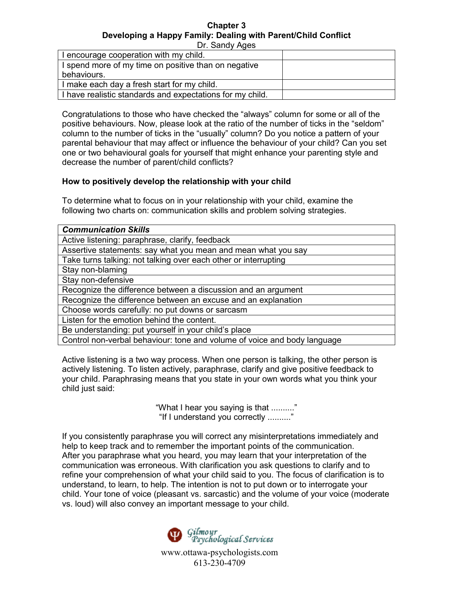Dr. Sandy Ages

| I encourage cooperation with my child.                    |  |
|-----------------------------------------------------------|--|
| I spend more of my time on positive than on negative      |  |
| behaviours.                                               |  |
| I make each day a fresh start for my child.               |  |
| I have realistic standards and expectations for my child. |  |

Congratulations to those who have checked the "always" column for some or all of the positive behaviours. Now, please look at the ratio of the number of ticks in the "seldom" column to the number of ticks in the "usually" column? Do you notice a pattern of your parental behaviour that may affect or influence the behaviour of your child? Can you set one or two behavioural goals for yourself that might enhance your parenting style and decrease the number of parent/child conflicts?

## **How to positively develop the relationship with your child**

To determine what to focus on in your relationship with your child, examine the following two charts on: communication skills and problem solving strategies.

| <b>Communication Skills</b>                                              |
|--------------------------------------------------------------------------|
| Active listening: paraphrase, clarify, feedback                          |
| Assertive statements: say what you mean and mean what you say            |
| Take turns talking: not talking over each other or interrupting          |
| Stay non-blaming                                                         |
| Stay non-defensive                                                       |
| Recognize the difference between a discussion and an argument            |
| Recognize the difference between an excuse and an explanation            |
| Choose words carefully: no put downs or sarcasm                          |
| Listen for the emotion behind the content.                               |
| Be understanding: put yourself in your child's place                     |
| Control non-verbal behaviour: tone and volume of voice and body language |
|                                                                          |

Active listening is a two way process. When one person is talking, the other person is actively listening. To listen actively, paraphrase, clarify and give positive feedback to your child. Paraphrasing means that you state in your own words what you think your child just said:

> "What I hear you saying is that .........." "If I understand you correctly .........."

If you consistently paraphrase you will correct any misinterpretations immediately and help to keep track and to remember the important points of the communication. After you paraphrase what you heard, you may learn that your interpretation of the communication was erroneous. With clarification you ask questions to clarify and to refine your comprehension of what your child said to you. The focus of clarification is to understand, to learn, to help. The intention is not to put down or to interrogate your child. Your tone of voice (pleasant vs. sarcastic) and the volume of your voice (moderate vs. loud) will also convey an important message to your child.

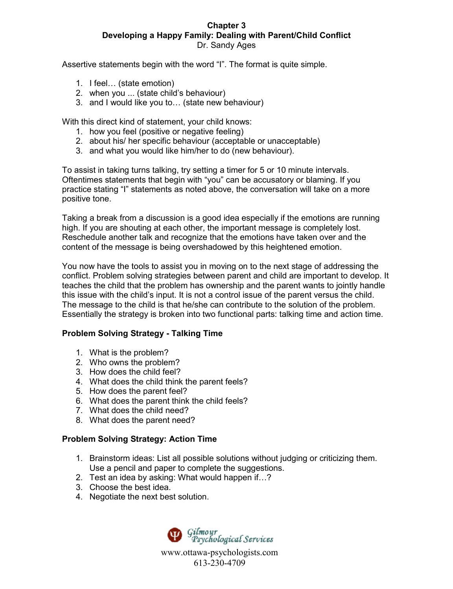Assertive statements begin with the word "I". The format is quite simple.

- 1. I feel… (state emotion)
- 2. when you ... (state child's behaviour)
- 3. and I would like you to… (state new behaviour)

With this direct kind of statement, your child knows:

- 1. how you feel (positive or negative feeling)
- 2. about his/ her specific behaviour (acceptable or unacceptable)
- 3. and what you would like him/her to do (new behaviour).

To assist in taking turns talking, try setting a timer for 5 or 10 minute intervals. Oftentimes statements that begin with "you" can be accusatory or blaming. If you practice stating "I" statements as noted above, the conversation will take on a more positive tone.

Taking a break from a discussion is a good idea especially if the emotions are running high. If you are shouting at each other, the important message is completely lost. Reschedule another talk and recognize that the emotions have taken over and the content of the message is being overshadowed by this heightened emotion.

You now have the tools to assist you in moving on to the next stage of addressing the conflict. Problem solving strategies between parent and child are important to develop. It teaches the child that the problem has ownership and the parent wants to jointly handle this issue with the child's input. It is not a control issue of the parent versus the child. The message to the child is that he/she can contribute to the solution of the problem. Essentially the strategy is broken into two functional parts: talking time and action time.

# **Problem Solving Strategy - Talking Time**

- 1. What is the problem?
- 2. Who owns the problem?
- 3. How does the child feel?
- 4. What does the child think the parent feels?
- 5. How does the parent feel?
- 6. What does the parent think the child feels?
- 7. What does the child need?
- 8. What does the parent need?

## **Problem Solving Strategy: Action Time**

- 1. Brainstorm ideas: List all possible solutions without judging or criticizing them. Use a pencil and paper to complete the suggestions.
- 2. Test an idea by asking: What would happen if…?
- 3. Choose the best idea.
- 4. Negotiate the next best solution.

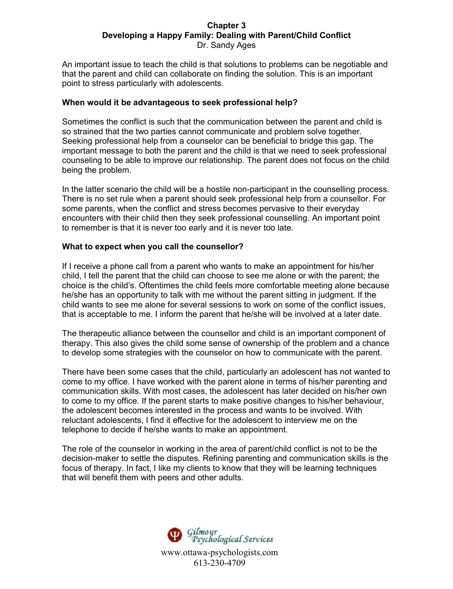An important issue to teach the child is that solutions to problems can be negotiable and that the parent and child can collaborate on finding the solution. This is an important point to stress particularly with adolescents.

## **When would it be advantageous to seek professional help?**

Sometimes the conflict is such that the communication between the parent and child is so strained that the two parties cannot communicate and problem solve together. Seeking professional help from a counselor can be beneficial to bridge this gap. The important message to both the parent and the child is that we need to seek professional counseling to be able to improve our relationship. The parent does not focus on the child being the problem.

In the latter scenario the child will be a hostile non-participant in the counselling process. There is no set rule when a parent should seek professional help from a counsellor. For some parents, when the conflict and stress becomes pervasive to their everyday encounters with their child then they seek professional counselling. An important point to remember is that it is never too early and it is never too late.

# **What to expect when you call the counsellor?**

If I receive a phone call from a parent who wants to make an appointment for his/her child, I tell the parent that the child can choose to see me alone or with the parent; the choice is the child's. Oftentimes the child feels more comfortable meeting alone because he/she has an opportunity to talk with me without the parent sitting in judgment. If the child wants to see me alone for several sessions to work on some of the conflict issues, that is acceptable to me. I inform the parent that he/she will be involved at a later date.

The therapeutic alliance between the counsellor and child is an important component of therapy. This also gives the child some sense of ownership of the problem and a chance to develop some strategies with the counselor on how to communicate with the parent.

There have been some cases that the child, particularly an adolescent has not wanted to come to my office. I have worked with the parent alone in terms of his/her parenting and communication skills. With most cases, the adolescent has later decided on his/her own to come to my office. If the parent starts to make positive changes to his/her behaviour, the adolescent becomes interested in the process and wants to be involved. With reluctant adolescents, I find it effective for the adolescent to interview me on the telephone to decide if he/she wants to make an appointment.

The role of the counselor in working in the area of parent/child conflict is not to be the decision-maker to settle the disputes. Refining parenting and communication skills is the focus of therapy. In fact, I like my clients to know that they will be learning techniques that will benefit them with peers and other adults.